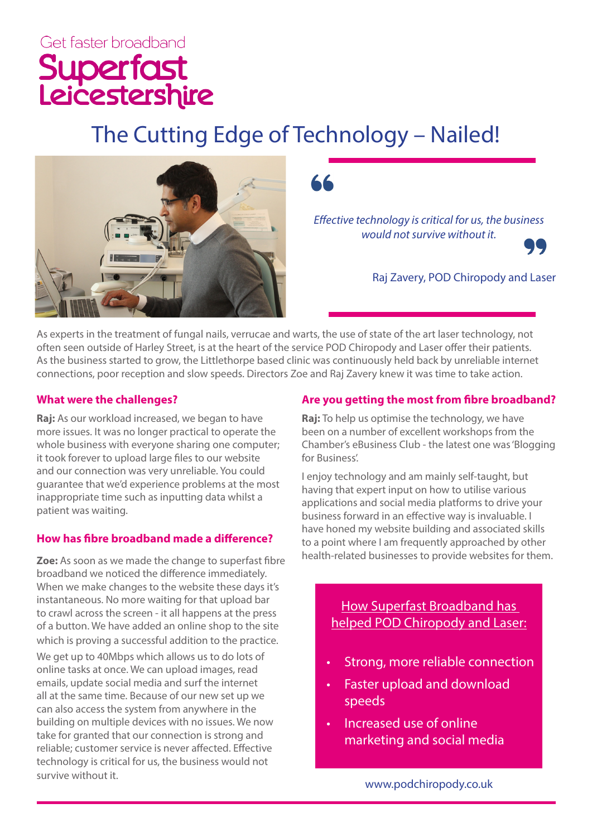# Get faster broadband Superfast<br>Leicestershire

# The Cutting Edge of Technology – Nailed!



*Effective technology is critical for us, the business would not survive without it.*



Raj Zavery, POD Chiropody and Laser

As experts in the treatment of fungal nails, verrucae and warts, the use of state of the art laser technology, not often seen outside of Harley Street, is at the heart of the service POD Chiropody and Laser offer their patients. As the business started to grow, the Littlethorpe based clinic was continuously held back by unreliable internet connections, poor reception and slow speeds. Directors Zoe and Raj Zavery knew it was time to take action.

#### **What were the challenges?**

**Raj:** As our workload increased, we began to have more issues. It was no longer practical to operate the whole business with everyone sharing one computer; it took forever to upload large files to our website and our connection was very unreliable. You could guarantee that we'd experience problems at the most inappropriate time such as inputting data whilst a patient was waiting.

# **How has fibre broadband made a difference?**

**Zoe:** As soon as we made the change to superfast fibre broadband we noticed the difference immediately. When we make changes to the website these days it's instantaneous. No more waiting for that upload bar to crawl across the screen - it all happens at the press of a button. We have added an online shop to the site which is proving a successful addition to the practice.

We get up to 40Mbps which allows us to do lots of online tasks at once. We can upload images, read emails, update social media and surf the internet all at the same time. Because of our new set up we can also access the system from anywhere in the building on multiple devices with no issues. We now take for granted that our connection is strong and reliable; customer service is never affected. Effective technology is critical for us, the business would not survive without it.

# **Are you getting the most from fibre broadband?**

**Raj:** To help us optimise the technology, we have been on a number of excellent workshops from the Chamber's eBusiness Club - the latest one was 'Blogging for Business'.

I enjoy technology and am mainly self-taught, but having that expert input on how to utilise various applications and social media platforms to drive your business forward in an effective way is invaluable. I have honed my website building and associated skills to a point where I am frequently approached by other health-related businesses to provide websites for them.

> How Superfast Broadband has helped POD Chiropody and Laser:

- Strong, more reliable connection
- Faster upload and download speeds
- Increased use of online marketing and social media

www.podchiropody.co.uk